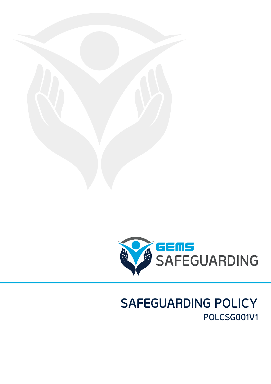

# **SAFEGUARDING POLICY POLCSG001V1**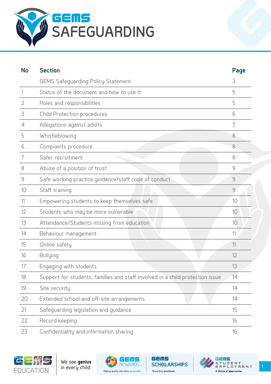

| <b>No</b>      | <b>Section</b>                                                                | Page           |
|----------------|-------------------------------------------------------------------------------|----------------|
|                | <b>GEMS Safeguarding Policy Statement</b>                                     | 3              |
|                | Status of the document and how to use it                                      | 5              |
| $\overline{2}$ | Roles and responsibilities                                                    | 5              |
| 3              | Child Protection procedures                                                   | 6              |
| 4              | Allegations against adults                                                    | 7              |
| 5              | Whistleblowing                                                                | 8              |
| 6              | Complaints procedure                                                          | 8              |
| 7              | Safer recruitment                                                             | 8              |
| 8              | Abuse of a position of trust                                                  | 9              |
| 9              | Safe working practice guidance/staff code of conduct                          | 9              |
| 10             | Staff training                                                                | $\overline{9}$ |
| 11             | Empowering students to keep themselves safe                                   | 10             |
| 12             | Students who may be more vulnerable                                           | 10             |
| 13             | Attendance/Students missing from education                                    | 10             |
| 14             | Behaviour management                                                          | 11             |
| 15             | Online safety                                                                 | 11             |
| 16             | <b>Bullying</b>                                                               | 12             |
| 17             | Engaging with students                                                        | 13             |
| 18             | Support for students, families and staff involved in a child protection issue | 14             |
| 19             | Site security                                                                 | 14             |
| 20             | Extended school and off-site arrangements                                     | 14             |
| 21             | Safeguarding legislation and guidance                                         | 15             |
| 22             | Record keeping                                                                | 16             |
| 23             | Confidentiality and information sharing                                       | 16             |





GEMS

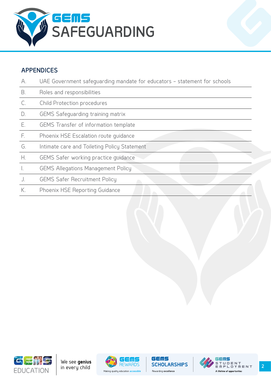

#### **APPENDICES**

| A.        | UAE Government safequarding mandate for educators - statement for schools |
|-----------|---------------------------------------------------------------------------|
| <b>B.</b> | Roles and responsibilities                                                |
| C.        | Child Protection procedures                                               |
| D.        | <b>GEMS Safequarding training matrix</b>                                  |
| Ε.        | GEMS Transfer of information template                                     |
| E.        | Phoenix HSE Escalation route quidance                                     |
| G.        | Intimate care and Toileting Policy Statement                              |
| Н.        | GEMS Safer working practice quidance                                      |
| $\perp$   | <b>GEMS Allegations Management Policy</b>                                 |
|           | <b>GEMS Safer Recruitment Policy</b>                                      |
| К.        | Phoenix HSE Reporting Guidance                                            |
|           |                                                                           |







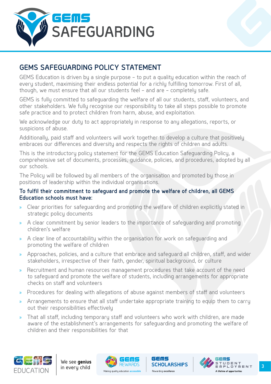<span id="page-3-0"></span>

# **GEMS SAFEGUARDING POLICY STATEMENT**

GEMS Education is driven by a single purpose – to put a quality education within the reach of every student, maximising their endless potential for a richly fulfilling tomorrow. First of all, though, we must ensure that all our students feel – and are – completely safe.

GEMS is fully committed to safeguarding the welfare of all our students, staff, volunteers, and other stakeholders. We fully recognise our responsibility to take all steps possible to promote safe practice and to protect children from harm, abuse, and exploitation.

We acknowledge our duty to act appropriately in response to any allegations, reports, or suspicions of abuse.

Additionally, paid staff and volunteers will work together to develop a culture that positively embraces our differences and diversity and respects the rights of children and adults.

This is the introductory policy statement for the GEMS Education Safeguarding Policy, a comprehensive set of documents, processes, guidance, policies, and procedures, adopted by all our schools.

The Policy will be followed by all members of the organisation and promoted by those in positions of leadership within the individual organisations.

#### **To fulfil their commitment to safeguard and promote the welfare of children, all GEMS Education schools must have:**

- » Clear priorities for safeguarding and promoting the welfare of children explicitly stated in strategic policy documents
- » A clear commitment by senior leaders to the importance of safeguarding and promoting children's welfare
- » A clear line of accountability within the organisation for work on safeguarding and promoting the welfare of children
- » Approaches, policies, and a culture that embrace and safeguard all children, staff, and wider stakeholders, irrespective of their faith, gender, spiritual background, or culture
- Recruitment and human resources management procedures that take account of the need to safeguard and promote the welfare of students, including arrangements for appropriate checks on staff and volunteers
- » Procedures for dealing with allegations of abuse against members of staff and volunteers
- » Arrangements to ensure that all staff undertake appropriate training to equip them to carry out their responsibilities effectively
- » That all staff, including temporary staff and volunteers who work with children, are made aware of the establishment's arrangements for safeguarding and promoting the welfare of children and their responsibilities for that







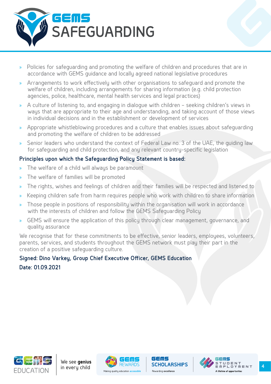

- » Policies for safeguarding and promoting the welfare of children and procedures that are in accordance with GEMS guidance and locally agreed national legislative procedures
- » Arrangements to work effectively with other organisations to safeguard and promote the welfare of children, including arrangements for sharing information (e.g. child protection agencies, police, healthcare, mental health services and legal practices)
- » A culture of listening to, and engaging in dialogue with children seeking children's views in ways that are appropriate to their age and understanding, and taking account of those views in individual decisions and in the establishment or development of services
- » Appropriate whistleblowing procedures and a culture that enables issues about safeguarding and promoting the welfare of children to be addressed
- » Senior leaders who understand the context of Federal Law no. 3 of the UAE, the guiding law for safeguarding and child protection, and any relevant country-specific legislation

#### **Principles upon which the Safeguarding Policy Statement is based:**

- » The welfare of a child will always be paramount
- » The welfare of families will be promoted
- » The rights, wishes and feelings of children and their families will be respected and listened to
- » Keeping children safe from harm requires people who work with children to share information
- Those people in positions of responsibility within the organisation will work in accordance with the interests of children and follow the GEMS Safeguarding Policy
- GEMS will ensure the application of this policy through clear management, governance, and quality assurance

We recognise that for these commitments to be effective, senior leaders, employees, volunteers, parents, services, and students throughout the GEMS network must play their part in the creation of a positive safeguarding culture.

# **Signed: Dino Varkey, Group Chief Executive Officer, GEMS Education Date: 01.09.2021**





GEMS

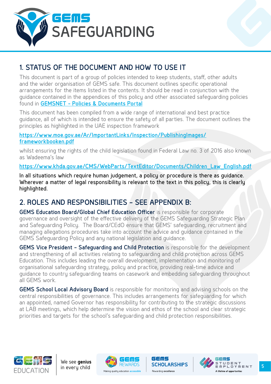<span id="page-5-0"></span>



# **1. STATUS OF THE DOCUMENT AND HOW TO USE IT**

This document is part of a group of policies intended to keep students, staff, other adults and the wider organisation of GEMS safe. This document outlines specific operational arrangements for the items listed in the contents. It should be read in conjunction with the guidance contained in the appendices of this policy and other associated safeguarding policies found in **[GEMSNET - Policies & Documents Portal](https://gemsnet.gemseducation.com/Policies/Safeguarding/Forms/AllItems.aspx)**

This document has been compiled from a wide range of international and best practice guidance, all of which is intended to ensure the safety of all parties. The document outlines the principles as highlighted in the UAE inspection framework

**[https://www.moe.gov.ae/Ar/ImportantLinks/Inspection/PublishingImages/](https://www.moe.gov.ae/Ar/ImportantLinks/Inspection/PublishingImages/frameworkbooken.pdf) [frameworkbooken.pdf](https://www.moe.gov.ae/Ar/ImportantLinks/Inspection/PublishingImages/frameworkbooken.pdf)**

whilst ensuring the rights of the child legislation found in Federal Law no. 3 of 2016 also known as Wadeema's law

**[https://www.khda.gov.ae/CMS/WebParts/TextEditor/Documents/Children\\_Law\\_English.pdf](https://www.khda.gov.ae/CMS/WebParts/TextEditor/Documents/Children_Law_English.pdf)**

In all situations which require human judgement, a policy or procedure is there as guidance. Wherever a matter of legal responsibility is relevant to the text in this policy, this is clearly highlighted.

# **2. ROLES AND RESPONSIBILITIES – SEE APPENDIX B:**

**GEMS Education Board/Global Chief Education Officer** is responsible for corporate governance and oversight of the effective delivery of the GEMS Safeguarding Strategic Plan and Safeguarding Policy. The Board/CEdO ensure that GEMS' safeguarding, recruitment and managing allegations procedures take into account the advice and guidance contained in the GEMS Safeguarding Policy and any national legislation and guidance.

**GEMS Vice President – Safeguarding and Child Protection** is responsible for the development and strengthening of all activities relating to safeguarding and child protection across GEMS Education. This includes leading the overall development, implementation and monitoring of organisational safeguarding strategy, policy and practice, providing real-time advice and guidance to country safeguarding teams on casework and embedding safeguarding throughout all GEMS work.

**GEMS School Local Advisory Board** is responsible for monitoring and advising schools on the central responsibilities of governance. This includes arrangements for safeguarding for which an appointed, named Governor has responsibility for contributing to the strategic discussions at LAB meetings, which help determine the vision and ethos of the school and clear strategic priorities and targets for the school's safeguarding and child protection responsibilities.







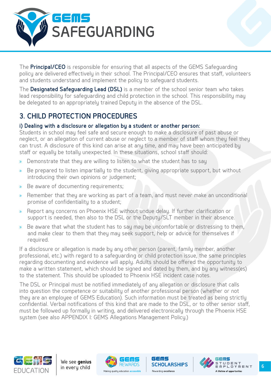<span id="page-6-0"></span>

The **Principal/CEO** is responsible for ensuring that all aspects of the GEMS Safeguarding policy are delivered effectively in their school. The Principal/CEO ensures that staff, volunteers and students understand and implement the policy to safeguard students.

The **Designated Safeguarding Lead (DSL)** is a member of the school senior team who takes lead responsibility for safeguarding and child protection in the school. This responsibility may be delegated to an appropriately trained Deputy in the absence of the DSL.

# **3. CHILD PROTECTION PROCEDURES**

#### **i) Dealing with a disclosure or allegation by a student or another person:**

Students in school may feel safe and secure enough to make a disclosure of past abuse or neglect, or an allegation of current abuse or neglect to a member of staff whom they feel they can trust. A disclosure of this kind can arise at any time, and may have been anticipated by staff or equally be totally unexpected. In these situations, school staff should:

- » Demonstrate that they are willing to listen to what the student has to say
- » Be prepared to listen impartially to the student, giving appropriate support, but without introducing their own opinions or judgement;
- » Be aware of documenting requirements;
- » Remember that they are working as part of a team, and must never make an unconditional promise of confidentiality to a student;
- » Report any concerns on Phoenix HSE without undue delay. If further clarification or support is needed, then also to the DSL or the Deputy/SLT member in their absence.
- » Be aware that what the student has to say may be uncomfortable or distressing to them, and make clear to them that they may seek support, help or advice for themselves if required.

If a disclosure or allegation is made by any other person (parent, family member, another professional, etc.) with regard to a safeguarding or child protection issue, the same principles regarding documenting and evidence will apply. Adults should be offered the opportunity to make a written statement, which should be signed and dated by them, and by any witness(es) to the statement. This should be uploaded to Phoenix HSE incident case notes.

The DSL or Principal must be notified immediately of any allegation or disclosure that calls into question the competence or suitability of another professional person (whether or not they are an employee of GEMS Education). Such information must be treated as being strictly confidential. Verbal notifications of this kind that are made to the DSL, or to other senior staff, must be followed up formally in writing, and delivered electronically through the Phoenix HSE system (see also APPENDIX I: GEMS Allegations Management Policy.)







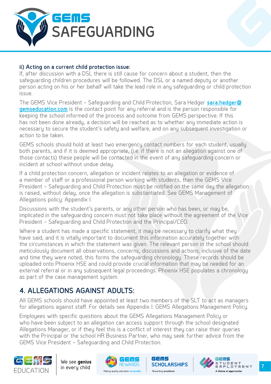<span id="page-7-0"></span>

#### **ii) Acting on a current child protection issue:**

If, after discussion with a DSL there is still cause for concern about a student, then the safeguarding children procedures will be followed. The DSL or a named deputy or another person acting on his or her behalf will take the lead role in any safeguarding or child protection issue.

The GEMS Vice President – Safeguarding and Child Protection, Sara Hedger **[sara.hedger@](mailto:sara.hedger%40gemseducation.com?subject=) [gemseducation.com](mailto:sara.hedger%40gemseducation.com?subject=)** is the contact point for any referral and is the person responsible for keeping the school informed of the process and outcome from GEMS perspective. If this has not been done already, a decision will be reached as to whether any immediate action is necessary to secure the student's safety and welfare, and on any subsequent investigation or action to be taken.

GEMS schools should hold at least two emergency contact numbers for each student, usually both parents, and if it is deemed appropriate, (i.e. if there is not an allegation against one of those contacts) these people will be contacted in the event of any safeguarding concern or incident at school without undue delay.

If a child protection concern, allegation or incident relates to an allegation or evidence of a member of staff or a professional person working with students, then the GEMS Vice President – Safeguarding and Child Protection must be notified on the same day the allegation is raised, without delay, once the allegation is substantiated. See GEMS Management of Allegations policy: Appendix I.

Discussions with the student's parents, or any other person who has been, or may be, implicated in the safeguarding concern must not take place without the agreement of the Vice President – Safeguarding and Child Protection and the Principal/CEO.

Where a student has made a specific statement, it may be necessary to clarify what they have said, and it is vitally important to document this information accurately together with the circumstances in which the statement was given. The relevant person in the school should meticulously document all observations, concerns, discussions and actions; inclusive of the date and time they were noted, this forms the safeguarding chronology. These records should be uploaded onto Phoenix HSE and could provide crucial information that may be needed for an external referral or in any subsequent legal proceedings. Phoenix HSE populates a chronology as part of the case management system.

# **4. ALLEGATIONS AGAINST ADULTS:**

All GEMS schools should have appointed at least two members of the SLT to act as managers for allegations against staff. For details see Appendix I: GEMS Allegations Management Policy.

Employees with specific questions about the GEMS Allegations Management Policy or who have been subject to an allegation can access support through the school designated Allegations Manager, or if they feel this is a conflict of interest they can raise their queries with the Principal or the school HR Business Partner, who may seek further advice from the GEMS Vice President – Safeguarding and Child Protection.







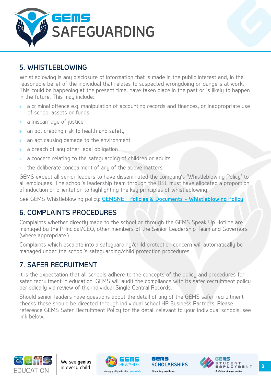<span id="page-8-0"></span>

# **5. WHISTLEBLOWING**

Whistleblowing is any disclosure of information that is made in the public interest and, in the reasonable belief of the individual that relates to suspected wrongdoing or dangers at work. This could be happening at the present time, have taken place in the past or is likely to happen in the future. This may include:

- » a criminal offence e.g. manipulation of accounting records and finances, or inappropriate use of school assets or funds
- » a miscarriage of justice
- » an act creating risk to health and safety
- » an act causing damage to the environment
- » a breach of any other legal obligation
- » a concern relating to the safeguarding of children or adults
- » the deliberate concealment of any of the above matters

GEMS expect all senior leaders to have disseminated the company's 'Whistleblowing Policy' to all employees. The school's leadership team through the DSL must have allocated a proportion of induction or orientation to highlighting the key principles of whistleblowing.

See GEMS Whistleblowing policy: **[GEMSNET Policies & Documents - Whistleblowing Policy](https://gemsnet.gemseducation.com/Policies/HR/POLIA001%20%20GEMS%20Whistleblowing%20Policy.pdf)**

# **6. COMPLAINTS PROCEDURES**

Complaints whether directly made to the school or through the GEMS Speak Up Hotline are managed by the Principal/CEO, other members of the Senior Leadership Team and Governors (where appropriate.)

Complaints which escalate into a safeguarding/child protection concern will automatically be managed under the school's safeguarding/child protection procedures.

# **7. SAFER RECRUITMENT**

It is the expectation that all schools adhere to the concepts of the policy and procedures for safer recruitment in education. GEMS will audit the compliance with its safer recruitment policy periodically via review of the individual Single Central Records.

Should senior leaders have questions about the detail of any of the GEMS safer recruitment checks these should be directed through individual school HR Business Partners. Please reference GEMS Safer Recruitment Policy for the detail relevant to your individual schools, see link below.







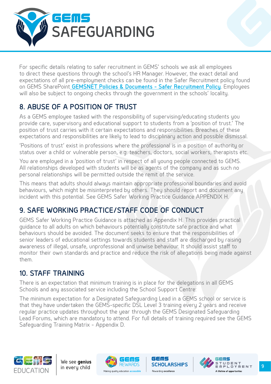<span id="page-9-0"></span>

For specific details relating to safer recruitment in GEMS' schools we ask all employees to direct these questions through the school's HR Manager. However, the exact detail and expectations of all pre-employment checks can be found in the Safer Recruitment policy found on GEMS SharePoint **[GEMSNET Policies & Documents - Safer Recruitment Policy](https://gemsnet.gemseducation.com/Policies/HR/POLHR0007%20Safer%20Recruitment%20Policy.pdf)**. Employees will also be subject to ongoing checks through the government in the schools' locality.

# **8. ABUSE OF A POSITION OF TRUST**

As a GEMS employee tasked with the responsibility of supervising/educating students you provide care, supervisory and educational support to students from a 'position of trust.' The position of trust carries with it certain expectations and responsibilities. Breaches of these expectations and responsibilities are likely to lead to disciplinary action and possible dismissal.

'Positions of trust' exist in professions where the professional is in a position of authority or status over a child or vulnerable person, e.g. teachers, doctors, social workers, therapists etc.

You are employed in a 'position of trust' in respect of all young people connected to GEMS. All relationships developed with students will be as agents of the company and as such no personal relationships will be permitted outside the remit of the service.

This means that adults should always maintain appropriate professional boundaries and avoid behaviours, which might be misinterpreted by others. They should report and document any incident with this potential. See GEMS Safer Working Practice Guidance APPENDIX H.

# **9. SAFE WORKING PRACTICE/STAFF CODE OF CONDUCT**

GEMS Safer Working Practice Guidance is attached as Appendix H. This provides practical guidance to all adults on which behaviours potentially constitute safe practice and what behaviours should be avoided. The document seeks to ensure that the responsibilities of senior leaders of educational settings towards students and staff are discharged by raising awareness of illegal, unsafe, unprofessional and unwise behaviour. It should assist staff to monitor their own standards and practice and reduce the risk of allegations being made against them.

# **10. STAFF TRAINING**

There is an expectation that minimum training is in place for the delegations in all GEMS Schools and any associated service including the School Support Centre:

The minimum expectation for a Designated Safeguarding Lead in a GEMS school or service is that they have undertaken the GEMS-specific DSL Level 3 training every 2 years and receive regular practice updates throughout the year through the GEMS Designated Safeguarding Lead Forums, which are mandatory to attend. For full details of training required see the GEMS Safeguarding Training Matrix - Appendix D.







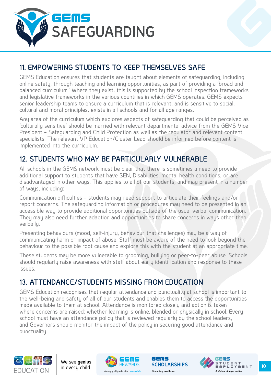<span id="page-10-0"></span>

# **11. EMPOWERING STUDENTS TO KEEP THEMSELVES SAFE**

GEMS Education ensures that students are taught about elements of safeguarding; including online safety, through teaching and learning opportunities, as part of providing a 'broad and balanced curriculum.' Where they exist, this is supported by the school inspection frameworks and legislative frameworks in the various countries in which GEMS operates. GEMS expects senior leadership teams to ensure a curriculum that is relevant, and is sensitive to social, cultural and moral principles, exists in all schools and for all age ranges.

Any area of the curriculum which explores aspects of safeguarding that could be perceived as 'culturally sensitive' should be married with relevant departmental advice from the GEMS Vice President – Safeguarding and Child Protection as well as the regulator and relevant content specialists. The relevant VP Education/Cluster Lead should be informed before content is implemented into the curriculum.

# **12. STUDENTS WHO MAY BE PARTICULARLY VULNERABLE**

All schools in the GEMS network must be clear that there is sometimes a need to provide additional support to students that have SEN, Disabilities, mental health conditions, or are disadvantaged in other ways. This applies to all of our students, and may present in a number of ways, including:

Communication difficulties – students may need support to articulate their feelings and/or report concerns. The safeguarding information or procedures may need to be presented in an accessible way to provide additional opportunities outside of the usual verbal communication. They may also need further adaption and opportunities to share concerns in ways other than verbally.

Presenting behaviours (mood, self-injury, behaviour that challenges) may be a way of communicating harm or impact of abuse. Staff must be aware of the need to look beyond the behaviour to the possible root cause and explore this with the student at an appropriate time.

These students may be more vulnerable to grooming, bullying or peer-to-peer abuse. Schools should regularly raise awareness with staff about early identification and response to these issues.

# **13. ATTENDANCE/STUDENTS MISSING FROM EDUCATION**

GEMS Education recognises that regular attendance and punctuality at school is important to the well-being and safety of all of our students and enables them to access the opportunities made available to them at school. Attendance is monitored closely and action is taken where concerns are raised; whether learning is online, blended or physically in school. Every school must have an attendance policy that is reviewed regularly by the school leaders, and Governors should monitor the impact of the policy in securing good attendance and punctuality.







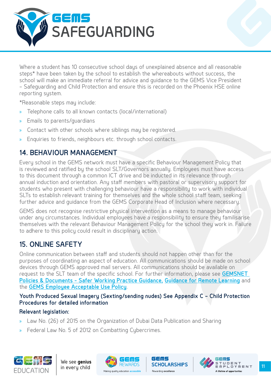<span id="page-11-0"></span>

Where a student has 10 consecutive school days of unexplained absence and all reasonable steps\* have been taken by the school to establish the whereabouts without success, the school will make an immediate referral for advice and guidance to the GEMS Vice President – Safeguarding and Child Protection and ensure this is recorded on the Phoenix HSE online reporting system.

\*Reasonable steps may include:

- » Telephone calls to all known contacts (local/international)
- » Emails to parents/guardians
- » Contact with other schools where siblings may be registered.
- » Enquiries to friends, neighbours etc. through school contacts.

# **14. BEHAVIOUR MANAGEMENT**

Every school in the GEMS network must have a specific Behaviour Management Policy that is reviewed and ratified by the school SLT/Governors annually. Employees must have access to this document through a common ICT drive and be inducted in its relevance through annual induction and orientation. Any staff members with pastoral or supervisory support for students who present with challenging behaviour have a responsibility to work with individual SLTs to establish relevant training for themselves and the whole school staff team, seeking further advice and guidance from the GEMS Corporate Head of Inclusion where necessary.

GEMS does not recognise restrictive physical intervention as a means to manage behaviour under any circumstances. Individual employees have a responsibility to ensure they familisarise themselves with the relevant Behaviour Management Policy for the school they work in. Failure to adhere to this policy could result in disciplinary action.

# **15. ONLINE SAFETY**

Online communication between staff and students should not happen other than for the purposes of coordinating an aspect of education. All communications should be made on school devices through GEMS approved mail servers. All communications should be available on request to the SLT team of the specific school. For further information, please see **[GEMSNET](https://gemsnet.gemseducation.com/Policies/Safeguarding/Forms/AllItems.aspx)  [Policies & Documents - Safer Working Practice Guidance,](https://gemsnet.gemseducation.com/Policies/Safeguarding/Forms/AllItems.aspx) [Guidance for Remote Learning](https://gemsnet.gemseducation.com/Policies/Safeguarding/Safeguarding%20and%20Inclusion_Guidelines%20During%20Remote-Learning%20v3%20Nov%202020.pdf)** and the **[GEMS Employee Acceptable Use Policy](https://gemsnet.gemseducation.com/Policies/IT/POLIT0018 Acceptable Use Policy.pdf)**.

#### **Youth Produced Sexual Imagery (Sexting/sending nudes) See Appendix C – Child Protection Procedures for detailed information**

GEMS

#### **Relevant legislation:**

- » Law No. (26) of 2015 on the Organization of Dubai Data Publication and Sharing
- » Federal Law No. 5 of 2012 on Combatting Cybercrimes.





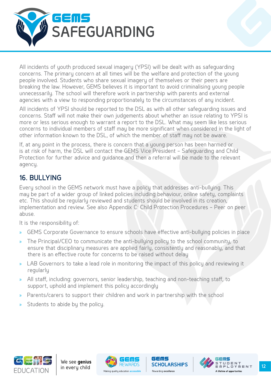<span id="page-12-0"></span>

All incidents of youth produced sexual imagery (YPSI) will be dealt with as safeguarding concerns. The primary concern at all times will be the welfare and protection of the young people involved. Students who share sexual imagery of themselves or their peers are breaking the law. However, GEMS believes it is important to avoid criminalising young people unnecessarily. The school will therefore work in partnership with parents and external agencies with a view to responding proportionately to the circumstances of any incident.

All incidents of YPSI should be reported to the DSL as with all other safeguarding issues and concerns. Staff will not make their own judgements about whether an issue relating to YPSI is more or less serious enough to warrant a report to the DSL. What may seem like less serious concerns to individual members of staff may be more significant when considered in the light of other information known to the DSL, of which the member of staff may not be aware.

If, at any point in the process, there is concern that a young person has been harmed or is at risk of harm, the DSL will contact the GEMS Vice President – Safeguarding and Child Protection for further advice and guidance and then a referral will be made to the relevant agency.

# **16. BULLYING**

Every school in the GEMS network must have a policy that addresses anti-bullying. This may be part of a wider group of linked policies including behaviour, online safety, complaints etc. This should be regularly reviewed and students should be involved in its creation, implementation and review. See also Appendix C: Child Protection Procedures – Peer on peer abuse.

It is the responsibility of:

- » GEMS Corporate Governance to ensure schools have effective anti-bullying policies in place
- » The Principal/CEO to communicate the anti-bullying policy to the school community, to ensure that disciplinary measures are applied fairly, consistently and reasonably, and that there is an effective route for concerns to be raised without delay
- » LAB Governors to take a lead role in monitoring the impact of this policy and reviewing it regularly
- » All staff, including: governors, senior leadership, teaching and non-teaching staff, to support, uphold and implement this policy accordingly
- Parents/carers to support their children and work in partnership with the school
- » Students to abide by the policy.







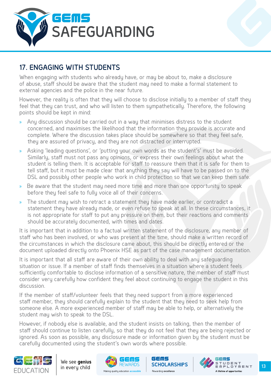<span id="page-13-0"></span>

# **17. ENGAGING WITH STUDENTS**

When engaging with students who already have, or may be about to, make a disclosure of abuse, staff should be aware that the student may need to make a formal statement to external agencies and the police in the near future.

However, the reality is often that they will choose to disclose initially to a member of staff they feel that they can trust, and who will listen to them sympathetically. Therefore, the following points should be kept in mind:

- » Any discussion should be carried out in a way that minimises distress to the student concerned, and maximises the likelihood that the information they provide is accurate and complete. Where the discussion takes place should be somewhere so that they feel safe, they are assured of privacy, and they are not distracted or interrupted.
- » Asking 'leading questions', or 'putting your own words as the student's' must be avoided. Similarly, staff must not pass any opinions, or express their own feelings about what the student is telling them. It is acceptable for staff to reassure them that it is safe for them to tell staff, but it must be made clear that anything they say will have to be passed on to the DSL and possibly other people who work in child protection so that we can keep them safe.
- » Be aware that the student may need more time and more than one opportunity to speak before they feel safe to fully voice all of their concerns.
- » The student may wish to retract a statement they have made earlier, or contradict a statement they have already made, or even refuse to speak at all. In these circumstances, it is not appropriate for staff to put any pressure on them, but their reactions and comments should be accurately documented, with times and dates.

It is important that in addition to a factual written statement of the disclosure, any member of staff who has been involved, or who was present at the time, should make a written record of the circumstances in which the disclosure came about, this should be directly entered or the document uploaded directly onto Phoenix HSE as part of the case management documentation.

It is important that all staff are aware of their own ability to deal with any safeguarding situation or issue. If a member of staff finds themselves in a situation where a student feels sufficiently comfortable to disclose information of a sensitive nature, the member of staff must consider very carefully how confident they feel about continuing to engage the student in this discussion.

If the member of staff/volunteer feels that they need support from a more experienced staff member, they should carefully explain to the student that they need to seek help from someone else. A more experienced member of staff may be able to help, or alternatively the student may wish to speak to the DSL.

However, if nobody else is available, and the student insists on talking, then the member of staff should continue to listen carefully, so that they do not feel that they are being rejected or ignored. As soon as possible, any disclosure made or information given by the student must be carefully documented using the student's own words where possible.





GEMS Making quality education **accessible** Rewarding **excellence** 

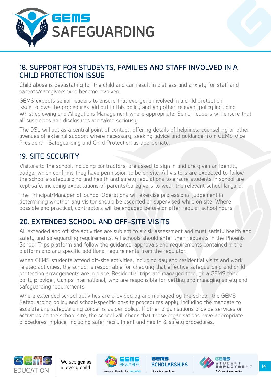<span id="page-14-0"></span>

# **18. SUPPORT FOR STUDENTS, FAMILIES AND STAFF INVOLVED IN A CHILD PROTECTION ISSUE**

Child abuse is devastating for the child and can result in distress and anxiety for staff and parents/caregivers who become involved.

GEMS expects senior leaders to ensure that everyone involved in a child protection issue follows the procedures laid out in this policy and any other relevant policy including Whistleblowing and Allegations Management where appropriate. Senior leaders will ensure that all suspicions and disclosures are taken seriously.

The DSL will act as a central point of contact, offering details of helplines, counselling or other avenues of external support where necessary, seeking advice and guidance from GEMS Vice President – Safeguarding and Child Protection as appropriate.

# **19. SITE SECURITY**

Visitors to the school, including contractors, are asked to sign in and are given an identity badge, which confirms they have permission to be on site. All visitors are expected to follow the school's safeguarding and health and safety regulations to ensure students in school are kept safe, including expectations of parents/caregivers to wear the relevant school lanyard.

The Principal/Manager of School Operations will exercise professional judgement in determining whether any visitor should be escorted or supervised while on site. Where possible and practical, contractors will be engaged before or after regular school hours.

# **20. EXTENDED SCHOOL AND OFF-SITE VISITS**

All extended and off site activities are subject to a risk assessment and must satisfy health and safety and safeguarding requirements. All schools should enter their requests in the Phoenix School Trips platform and follow the guidance, approvals and requirements contained in the platform and any specific additional requirements from the regulator.

When GEMS students attend off-site activities, including day and residential visits and work related activities, the school is responsible for checking that effective safeguarding and child protection arrangements are in place. Residential trips are managed through a GEMS third party provider, Camps International, who are responsible for vetting and managing safety and safeguarding requirements.

Where extended school activities are provided by and managed by the school, the GEMS Safeguarding policy and school-specific on-site procedures apply, including the mandate to escalate any safeguarding concerns as per policy. If other organisations provide services or activities on the school site, the school will check that those organisations have appropriate procedures in place, including safer recruitment and health & safety procedures.







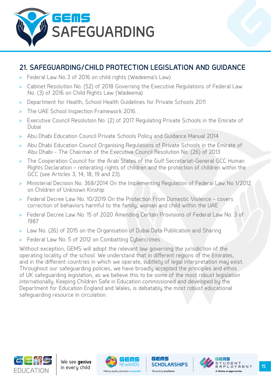<span id="page-15-0"></span>

# **21. SAFEGUARDING/CHILD PROTECTION LEGISLATION AND GUIDANCE**

- » Federal Law No.3 of 2016 on child rights (Wadeema's Law)
- » Cabinet Resolution No. (52) of 2018 Governing the Executive Regulations of Federal Law No. (3) of 2016 on Child Rights Law (Wadeema)
- » Department for Health, School Health Guidelines for Private Schools 2011
- » The UAE School Inspection Framework 2016.
- » Executive Council Resolution No. (2) of 2017 Regulating Private Schools in the Emirate of Dubai
- » Abu Dhabi Education Council Private Schools Policy and Guidance Manual 2014
- » Abu Dhabi Education Council Organising Regulations of Private Schools in the Emirate of Abu Dhabi - The Chairman of the Executive Council Resolution No. (26) of 2013
- » The Cooperation Council for the Arab States of the Gulf Secretariat-General GCC Human Rights Declaration – reiterating rights of children and the protection of children within the GCC (see Articles 3, 14, 18, 19 and 23).
- » Ministerial Decision No. 368/2014 On the Implementing Regulation of Federal Law No 1/2012 on Children of Unknown Kinship
- » Federal Decree Law No. 10/2019 On the Protection From Domestic Violence covers correction of behaviors harmful to the family, woman and child within the UAE
- » Federal Decree Law No. 15 of 2020 Amending Certain Provisions of Federal Law No. 3 of 1987
- » Law No. (26) of 2015 on the Organisation of Dubai Data Publication and Sharing
- Federal Law No. 5 of 2012 on Combatting Cybercrimes.

Without exception, GEMS will adopt the relevant law governing the jurisdiction of the operating locality of the school. We understand that in different regions of the Emirates, and in the different countries in which we operate, subtlety of legal interpretation may exist. Throughout our safeguarding policies, we have broadly accepted the principles and ethos of UK safeguarding legislation, as we believe this to be some of the most robust legislation internationally. Keeping Children Safe in Education commissioned and developed by the Department for Education England and Wales, is debatably the most robust educational safeguarding resource in circulation.







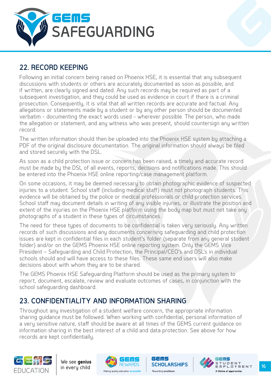<span id="page-16-0"></span>

# **22. RECORD KEEPING**

Following an initial concern being raised on Phoenix HSE, it is essential that any subsequent discussions with students or others are accurately documented as soon as possible, and if written, are clearly signed and dated. Any such records may be required as part of a subsequent investigation, and they could be used as evidence in court if there is a criminal prosecution. Consequently, it is vital that all written records are accurate and factual. Any allegations or statements made by a student or by any other person should be documented verbatim - documenting the exact words used - wherever possible. The person, who made the allegation or statement, and any witness who was present, should countersign any written record.

The written information should then be uploaded into the Phoenix HSE system by attaching a PDF of the original disclosure documentation. The original information should always be filed and stored securely with the DSL.

As soon as a child protection issue or concern has been raised, a timely and accurate record must be made by the DSL of all events, reports, decisions and notifications made. This should be entered into the Phoenix HSE online reporting/case management platform.

On some occasions, it may be deemed necessary to obtain photographic evidence of suspected injuries to a student. School staff (including medical staff) must not photograph students. This evidence will be obtained by the police or medical professionals or child protection services. School staff may document details in writing of any visible injuries, or illustrate the position and extent of the injuries on the Phoenix HSE platform using the body map but must not take any photographs of a student in these types of circumstances.

The need for these types of documents to be confidential is taken very seriously. Any written records of such discussions and any documents concerning safeguarding and child protection issues are kept in confidential files in each student's folder (separate from any general student folder) and/or on the GEMS Phoenix HSE online reporting system. Only the GEMS Vice President – Safeguarding and Child Protection, the Principal/CEO's and DSL's in individual schools should and will have access to these files. These same end users will also make decisions about with whom they are to be shared.

The GEMS Phoenix HSE Safeguarding Platform should be used as the primary system to report, document, escalate, review and evaluate outcomes of cases, in conjunction with the school safeguarding dashboard.

# **23. CONFIDENTIALITY AND INFORMATION SHARING**

Throughout any investigation of a student welfare concern, the appropriate information sharing guidance must be followed. When working with confidential, personal information of a very sensitive nature, staff should be aware at all times of the GEMS current guidance on information sharing in the best interest of a child and data protection. See above for how records are kept confidentially.







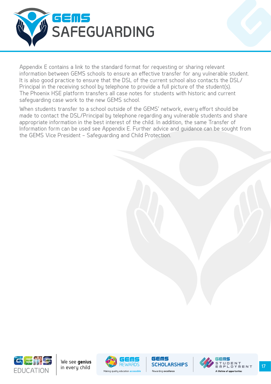

Appendix E contains a link to the standard format for requesting or sharing relevant information between GEMS schools to ensure an effective transfer for any vulnerable student. It is also good practice to ensure that the DSL of the current school also contacts the DSL/ Principal in the receiving school by telephone to provide a full picture of the student(s). The Phoenix HSE platform transfers all case notes for students with historic and current safeguarding case work to the new GEMS school.

When students transfer to a school outside of the GEMS' network, every effort should be made to contact the DSL/Principal by telephone regarding any vulnerable students and share appropriate information in the best interest of the child. In addition, the same Transfer of Information form can be used see Appendix E. Further advice and guidance can be sought from the GEMS Vice President – Safeguarding and Child Protection.







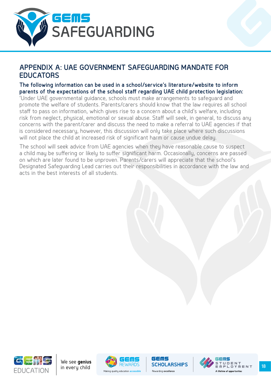<span id="page-18-0"></span>

### **APPENDIX A: UAE GOVERNMENT SAFEGUARDING MANDATE FOR EDUCATORS**

#### **The following information can be used in a school/service's literature/website to inform parents of the expectations of the school staff regarding UAE child protection legislation:**

'Under UAE governmental guidance, schools must make arrangements to safeguard and promote the welfare of students. Parents/carers should know that the law requires all school staff to pass on information, which gives rise to a concern about a child's welfare, including risk from neglect, physical, emotional or sexual abuse. Staff will seek, in general, to discuss any concerns with the parent/carer and discuss the need to make a referral to UAE agencies if that is considered necessary, however, this discussion will only take place where such discussions will not place the child at increased risk of significant harm or cause undue delay.

The school will seek advice from UAE agencies when they have reasonable cause to suspect a child may be suffering or likely to suffer significant harm. Occasionally, concerns are passed on which are later found to be unproven. Parents/carers will appreciate that the school's Designated Safeguarding Lead carries out their responsibilities in accordance with the law and acts in the best interests of all students.







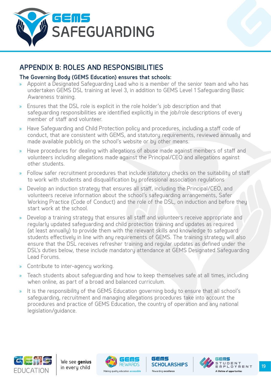<span id="page-19-0"></span>

# **APPENDIX B: ROLES AND RESPONSIBILITIES**

#### **The Governing Body (GEMS Education) ensures that schools:**

- » Appoint a Designated Safeguarding Lead who is a member of the senior team and who has undertaken GEMS DSL training at level 3, in addition to GEMS Level 1 Safeguarding Basic Awareness training.
- » Ensures that the DSL role is explicit in the role holder's job description and that safeguarding responsibilities are identified explicitly in the job/role descriptions of every member of staff and volunteer.
- » Have Safeguarding and Child Protection policy and procedures, including a staff code of conduct, that are consistent with GEMS, and statutory requirements, reviewed annually and made available publicly on the school's website or by other means.
- » Have procedures for dealing with allegations of abuse made against members of staff and volunteers including allegations made against the Principal/CEO and allegations against other students.
- » Follow safer recruitment procedures that include statutory checks on the suitability of staff to work with students and disqualification by professional association regulations
- » Develop an induction strategy that ensures all staff, including the Principal/CEO, and volunteers receive information about the school's safeguarding arrangements, Safer Working Practice (Code of Conduct) and the role of the DSL, on induction and before they start work at the school.
- » Develop a training strategy that ensures all staff and volunteers receive appropriate and regularly updated safeguarding and child protection training and updates as required (at least annually) to provide them with the relevant skills and knowledge to safeguard students effectively in line with any requirements of GEMS. The training strategy will also ensure that the DSL receives refresher training and regular updates as defined under the DSL's duties below, these include mandatory attendance at GEMS Designated Safeguarding Lead Forums.
- » Contribute to inter-agency working.
- » Teach students about safeguarding and how to keep themselves safe at all times, including when online, as part of a broad and balanced curriculum.
- » It is the responsibility of the GEMS Education governing body to ensure that all school's safeguarding, recruitment and managing allegations procedures take into account the procedures and practice of GEMS Education, the country of operation and any national legislation/guidance.







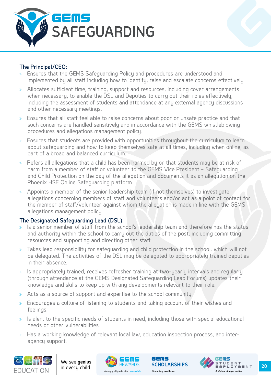

#### **The Principal/CEO:**

- » Ensures that the GEMS Safeguarding Policy and procedures are understood and implemented by all staff including how to identify, raise and escalate concerns effectively.
- » Allocates sufficient time, training, support and resources, including cover arrangements when necessary, to enable the DSL and Deputies to carry out their roles effectively, including the assessment of students and attendance at any external agency discussions and other necessary meetings.
- » Ensures that all staff feel able to raise concerns about poor or unsafe practice and that such concerns are handled sensitively and in accordance with the GEMS whistleblowing procedures and allegations management policy.
- » Ensures that students are provided with opportunities throughout the curriculum to learn about safeguarding and how to keep themselves safe at all times, including when online, as part of a broad and balanced curriculum.
- » Refers all allegations that a child has been harmed by or that students may be at risk of harm from a member of staff or volunteer to the GEMS Vice President – Safeguarding and Child Protection on the day of the allegation and documents it as an allegation on the Phoenix HSE Online Safeguarding platform.
- » Appoints a member of the senior leadership team (if not themselves) to investigate allegations concerning members of staff and volunteers and/or act as a point of contact for the member of staff/volunteer against whom the allegation is made in line with the GEMS allegations management policy.

#### **The Designated Safeguarding Lead (DSL):**

- » Is a senior member of staff from the school's leadership team and therefore has the status and authority within the school to carry out the duties of the post, including committing resources and supporting and directing other staff.
- » Takes lead responsibility for safeguarding and child protection in the school, which will not be delegated. The activities of the DSL may be delegated to appropriately trained deputies in their absence.
- » Is appropriately trained, receives refresher training at two-yearly intervals and regularly (through attendance at the GEMS Designated Safeguarding Lead Forums) updates their knowledge and skills to keep up with any developments relevant to their role.
- » Acts as a source of support and expertise to the school community.
- » Encourages a culture of listening to students and taking account of their wishes and feelings.
- » Is alert to the specific needs of students in need, including those with special educational needs or other vulnerabilities.
- » Has a working knowledge of relevant local law, education inspection process, and interagency support.

ld Smls





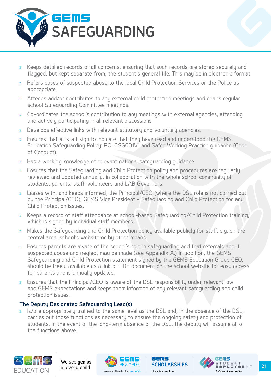

- » Keeps detailed records of all concerns, ensuring that such records are stored securely and flagged, but kept separate from, the student's general file. This may be in electronic format.
- » Refers cases of suspected abuse to the local Child Protection Services or the Police as appropriate.
- » Attends and/or contributes to any external child protection meetings and chairs regular school Safeguarding Committee meetings.
- » Co-ordinates the school's contribution to any meetings with external agencies, attending and actively participating in all relevant discussions
- » Develops effective links with relevant statutory and voluntary agencies.
- » Ensures that all staff sign to indicate that they have read and understood the GEMS Education Safeguarding Policy: POLCSG001V1 and Safer Working Practice guidance (Code of Conduct).
- » Has a working knowledge of relevant national safeguarding guidance.
- » Ensures that the Safeguarding and Child Protection policy and procedures are regularly reviewed and updated annually, in collaboration with the whole school community of students, parents, staff, volunteers and LAB Governors.
- Liaises with, and keeps informed, the Principal/CEO (where the DSL role is not carried out by the Principal/CEO), GEMS Vice President – Safeguarding and Child Protection for any Child Protection issues.
- » Keeps a record of staff attendance at school-based Safeguarding/Child Protection training, which is signed by individual staff members.
- » Makes the Safeguarding and Child Protection policy available publicly for staff, e.g. on the central area, school's website or by other means.
- » Ensures parents are aware of the school's role in safeguarding and that referrals about suspected abuse and neglect may be made (see Appendix A.) In addition, the GEMS Safeguarding and Child Protection statement signed by the GEMS Education Group CEO, should be freely available as a link or PDF document on the school website for easy access for parents and is annually updated.
- » Ensures that the Principal/CEO is aware of the DSL responsibility under relevant law and GEMS expectations and keeps them informed of any relevant safeguarding and child protection issues.

#### **The Deputy Designated Safeguarding Lead(s)**

» Is/are appropriately trained to the same level as the DSL and, in the absence of the DSL, carries out those functions as necessary to ensure the ongoing safety and protection of students. In the event of the long-term absence of the DSL, the deputy will assume all of the functions above.

ld Smls





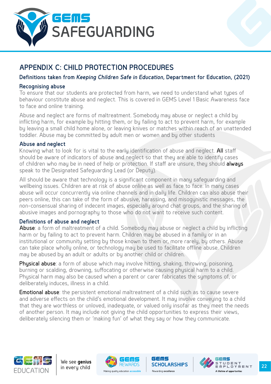<span id="page-22-0"></span>

# **APPENDIX C: CHILD PROTECTION PROCEDURES**

#### **Definitions taken from** *Keeping Children Safe in Education***, Department for Education, (2021)**

#### **Recognising abuse**

To ensure that our students are protected from harm, we need to understand what types of behaviour constitute abuse and neglect. This is covered in GEMS Level 1 Basic Awareness face to face and online training.

Abuse and neglect are forms of maltreatment. Somebody may abuse or neglect a child by inflicting harm, for example by hitting them, or by failing to act to prevent harm, for example by leaving a small child home alone, or leaving knives or matches within reach of an unattended toddler. Abuse may be committed by adult men or women and by other students

#### **Abuse and neglect**

Knowing what to look for is vital to the early identification of abuse and neglect. All staff should be aware of indicators of abuse and neglect so that they are able to identify cases of children who may be in need of help or protection. If staff are unsure, they should always speak to the Designated Safeguarding Lead (or Deputy).

All should be aware that technology is a significant component in many safeguarding and wellbeing issues. Children are at risk of abuse online as well as face to face. In many cases abuse will occur concurrently via online channels and in daily life. Children can also abuse their peers online, this can take of the form of abusive, harassing, and misogynistic messages, the non-consensual sharing of indecent images, especially around chat groups, and the sharing of abusive images and pornography to those who do not want to receive such content.

#### **Definitions of abuse and neglect**

Abuse: a form of maltreatment of a child. Somebody may abuse or neglect a child by inflicting harm or by failing to act to prevent harm. Children may be abused in a family or in an institutional or community setting by those known to them or, more rarely, by others. Abuse can take place wholly online, or technology may be used to facilitate offline abuse. Children may be abused by an adult or adults or by another child or children.

Physical abuse: a form of abuse which may involve hitting, shaking, throwing, poisoning, burning or scalding, drowning, suffocating or otherwise causing physical harm to a child. Physical harm may also be caused when a parent or carer fabricates the symptoms of, or deliberately induces, illness in a child.

Emotional abuse: the persistent emotional maltreatment of a child such as to cause severe and adverse effects on the child's emotional development. It may involve conveying to a child that they are worthless or unloved, inadequate, or valued only insofar as they meet the needs of another person. It may include not giving the child opportunities to express their views, deliberately silencing them or 'making fun' of what they say or how they communicate.







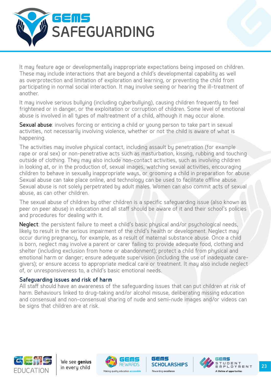

It may feature age or developmentally inappropriate expectations being imposed on children. These may include interactions that are beyond a child's developmental capability as well as overprotection and limitation of exploration and learning, or preventing the child from participating in normal social interaction. It may involve seeing or hearing the ill-treatment of another.

It may involve serious bullying (including cyberbullying), causing children frequently to feel frightened or in danger, or the exploitation or corruption of children. Some level of emotional abuse is involved in all types of maltreatment of a child, although it may occur alone.

Sexual abuse: involves forcing or enticing a child or young person to take part in sexual activities, not necessarily involving violence, whether or not the child is aware of what is happening.

The activities may involve physical contact, including assault by penetration (for example rape or oral sex) or non-penetrative acts such as masturbation, kissing, rubbing and touching outside of clothing. They may also include non-contact activities, such as involving children in looking at, or in the production of, sexual images, watching sexual activities, encouraging children to behave in sexually inappropriate ways, or grooming a child in preparation for abuse. Sexual abuse can take place online, and technology can be used to facilitate offline abuse. Sexual abuse is not solely perpetrated by adult males. Women can also commit acts of sexual abuse, as can other children.

The sexual abuse of children by other children is a specific safeguarding issue (also known as peer on peer abuse) in education and all staff should be aware of it and their school's policies and procedures for dealing with it.

Neglect: the persistent failure to meet a child's basic physical and/or psychological needs, likely to result in the serious impairment of the child's health or development. Neglect may occur during pregnancy, for example, as a result of maternal substance abuse. Once a child is born, neglect may involve a parent or carer failing to: provide adequate food, clothing and shelter (including exclusion from home or abandonment); protect a child from physical and emotional harm or danger; ensure adequate supervision (including the use of inadequate caregivers); or ensure access to appropriate medical care or treatment. It may also include neglect of, or unresponsiveness to, a child's basic emotional needs.

#### **Safeguarding issues and risk of harm**

All staff should have an awareness of the safeguarding issues that can put children at risk of harm. Behaviours linked to drug-taking and/or alcohol misuse, deliberating missing education and consensual and non-consensual sharing of nude and semi-nude images and/or videos can be signs that children are at risk.



We see **genius**



ld Smls

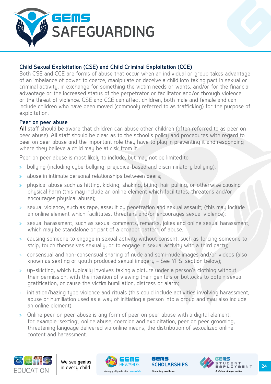

#### **Child Sexual Exploitation (CSE) and Child Criminal Exploitation (CCE)**

Both CSE and CCE are forms of abuse that occur when an individual or group takes advantage of an imbalance of power to coerce, manipulate or deceive a child into taking part in sexual or criminal activity, in exchange for something the victim needs or wants, and/or for the financial advantage or the increased status of the perpetrator or facilitator and/or through violence or the threat of violence. CSE and CCE can affect children, both male and female and can include children who have been moved (commonly referred to as trafficking) for the purpose of exploitation.

#### **Peer on peer abuse**

All staff should be aware that children can abuse other children (often referred to as peer on peer abuse). All staff should be clear as to the school's policy and procedures with regard to peer on peer abuse and the important role they have to play in preventing it and responding where they believe a child may be at risk from it.

Peer on peer abuse is most likely to include, but may not be limited to:

- » bullying (including cyberbullying, prejudice-based and discriminatory bullying);
- » abuse in intimate personal relationships between peers;
- » physical abuse such as hitting, kicking, shaking, biting, hair pulling, or otherwise causing physical harm (this may include an online element which facilitates, threatens and/or encourages physical abuse);
- » sexual violence, such as rape, assault by penetration and sexual assault; (this may include an online element which facilitates, threatens and/or encourages sexual violence);
- » sexual harassment, such as sexual comments, remarks, jokes and online sexual harassment, which may be standalone or part of a broader pattern of abuse.
- » causing someone to engage in sexual activity without consent, such as forcing someone to strip, touch themselves sexually, or to engage in sexual activity with a third party;
- » consensual and non-consensual sharing of nude and semi-nude images and/or videos (also known as sexting or youth produced sexual imagery – See YPSI section below);
- » up-skirting, which typically involves taking a picture under a person's clothing without their permission, with the intention of viewing their genitals or buttocks to obtain sexual gratification, or cause the victim humiliation, distress or alarm;
- » initiation/hazing tupe violence and rituals (this could include activities involving harassment, abuse or humiliation used as a way of initiating a person into a group and may also include an online element).

ld Smls

» Online peer on peer abuse is any form of peer on peer abuse with a digital element, for example 'sexting', online abuse, coercion and exploitation, peer on peer grooming, threatening language delivered via online means, the distribution of sexualized online content and harassment.





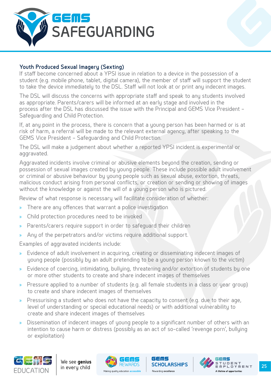

#### **Youth Produced Sexual Imagery (Sexting)**

If staff become concerned about a YPSI issue in relation to a device in the possession of a student (e.g. mobile phone, tablet, digital camera), the member of staff will support the student to take the device immediately to the DSL. Staff will not look at or print any indecent images.

The DSL will discuss the concerns with appropriate staff and speak to any students involved as appropriate. Parents/carers will be informed at an early stage and involved in the process after the DSL has discussed the issue with the Principal and GEMS Vice President – Safeguarding and Child Protection.

If, at any point in the process, there is concern that a young person has been harmed or is at risk of harm, a referral will be made to the relevant external agency, after speaking to the GEMS Vice President – Safeguarding and Child Protection.

The DSL will make a judgement about whether a reported YPSI incident is experimental or aggravated.

Aggravated incidents involve criminal or abusive elements beyond the creation, sending or possession of sexual images created by young people. These include possible adult involvement or criminal or abusive behaviour by young people such as sexual abuse, extortion, threats, malicious conduct arising from personal conflicts, or creation or sending or showing of images without the knowledge or against the will of a young person who is pictured.

Review of what response is necessary will facilitate consideration of whether:

- » There are any offences that warrant a police investigation
- » Child protection procedures need to be invoked
- » Parents/carers require support in order to safeguard their children
- Any of the perpetrators and/or victims require additional support.

Examples of aggravated incidents include:

- » Evidence of adult involvement in acquiring, creating or disseminating indecent images of young people (possibly by an adult pretending to be a young person known to the victim)
- » Evidence of coercing, intimidating, bullying, threatening and/or extortion of students by one or more other students to create and share indecent images of themselves
- » Pressure applied to a number of students (e.g. all female students in a class or year group) to create and share indecent images of themselves
- » Pressurising a student who does not have the capacity to consent (e.g. due to their age, level of understanding or special educational needs) or with additional vulnerability to create and share indecent images of themselves
- » Dissemination of indecent images of young people to a significant number of others with an intention to cause harm or distress (possibly as an act of so-called 'revenge porn', bullying or exploitation)







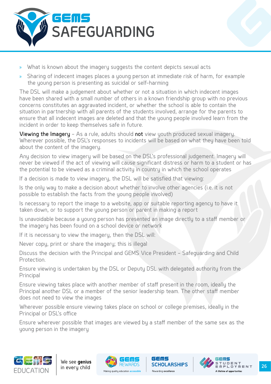

- » What is known about the imagery suggests the content depicts sexual acts
- » Sharing of indecent images places a young person at immediate risk of harm, for example the young person is presenting as suicidal or self-harming

The DSL will make a judgement about whether or not a situation in which indecent images have been shared with a small number of others in a known friendship group with no previous concerns constitutes an aggravated incident, or whether the school is able to contain the situation in partnership with all parents of the students involved, arrange for the parents to ensure that all indecent images are deleted and that the young people involved learn from the incident in order to keep themselves safe in future.

Viewing the Imagery - As a rule, adults should not view youth produced sexual imagery. Wherever possible, the DSL's responses to incidents will be based on what they have been told about the content of the imagery.

Any decision to view imagery will be based on the DSL's professional judgement. Imagery will never be viewed if the act of viewing will cause significant distress or harm to a student or has the potential to be viewed as a criminal activity in country in which the school operates

If a decision is made to view imagery, the DSL will be satisfied that viewing:

Is the only way to make a decision about whether to involve other agencies (i.e. it is not possible to establish the facts from the young people involved)

Is necessary to report the image to a website, app or suitable reporting agency to have it taken down, or to support the young person or parent in making a report

Is unavoidable because a young person has presented an image directly to a staff member or the imagery has been found on a school device or network

If it is necessary to view the imagery, then the DSL will:

Never copy, print or share the imagery; this is illegal

Discuss the decision with the Principal and GEMS Vice President – Safeguarding and Child Protection.

Ensure viewing is undertaken by the DSL or Deputy DSL with delegated authority from the **Principal** 

Ensure viewing takes place with another member of staff present in the room, ideally the Principal another DSL or a member of the senior leadership team. The other staff member does not need to view the images

Wherever possible ensure viewing takes place on school or college premises, ideally in the Principal or DSL's office

Ensure wherever possible that images are viewed by a staff member of the same sex as the young person in the imagery







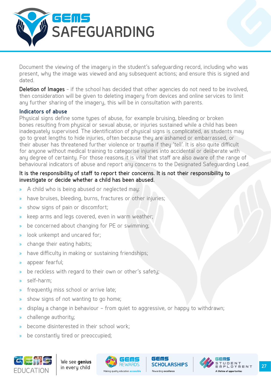

Document the viewing of the imagery in the student's safeguarding record, including who was present, why the image was viewed and any subsequent actions; and ensure this is signed and dated.

Deletion of Images - if the school has decided that other agencies do not need to be involved, then consideration will be given to deleting imagery from devices and online services to limit any further sharing of the imagery, this will be in consultation with parents.

#### **Indicators of abuse**

Physical signs define some types of abuse, for example bruising, bleeding or broken bones resulting from physical or sexual abuse, or injuries sustained while a child has been inadequately supervised. The identification of physical signs is complicated, as students may go to great lengths to hide injuries, often because they are ashamed or embarrassed, or their abuser has threatened further violence or trauma if they 'tell'. It is also quite difficult for anyone without medical training to categorise injuries into accidental or deliberate with any degree of certainty. For those reasons it is vital that staff are also aware of the range of behavioural indicators of abuse and report any concerns to the Designated Safeguarding Lead.

#### It is the responsibility of staff to report their concerns. It is not their responsibility to investigate or decide whether a child has been abused.

- » A child who is being abused or neglected may:
- » have bruises, bleeding, burns, fractures or other injuries;
- » show signs of pain or discomfort;
- » keep arms and legs covered, even in warm weather;
- » be concerned about changing for PE or swimming;
- » look unkempt and uncared for;
- » change their eating habits;
- » have difficulty in making or sustaining friendships;
- » appear fearful;
- » be reckless with regard to their own or other's safety;
- » self-harm;
- » frequently miss school or arrive late;
- » show signs of not wanting to go home;
- » display a change in behaviour from quiet to aggressive, or happy to withdrawn;
- » challenge authority;
- » become disinterested in their school work;
- » be constantly tired or preoccupied;





ld Smls

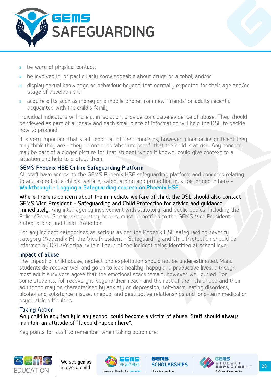

- » be wary of physical contact;
- » be involved in, or particularly knowledgeable about drugs or alcohol; and/or
- » display sexual knowledge or behaviour beyond that normally expected for their age and/or stage of development.
- acquire gifts such as money or a mobile phone from new 'friends' or adults recently acquainted with the child's family

Individual indicators will rarely, in isolation, provide conclusive evidence of abuse. They should be viewed as part of a jigsaw and each small piece of information will help the DSL to decide how to proceed.

It is very important that staff report all of their concerns, however minor or insignificant they may think they are – they do not need 'absolute proof' that the child is at risk. Any concern, may be part of a bigger picture for that student which if known, could give context to a situation and help to protect them.

#### **GEMS Phoenix HSE Online Safeguarding Platform**

All staff have access to the GEMS Phoenix HSE safeguarding platform and concerns relating to any aspect of a child's welfare, safeguarding and protection must be logged in here - **[Walkthrough - Logging a Safeguarding concern on Phoenix HSE](https://gemsnet.gemseducation.com/Policies/Safeguarding/Walkthrough - logging a SG concern on HSE v2.pdf)**

Where there is concern about the immediate welfare of child, the DSL should also contact GEMS Vice President – Safeguarding and Child Protection for advice and guidance immediately. Any inter-agency involvement with statutory, and public bodies, including the Police/Social Services/regulatory bodies, must be notified to the GEMS Vice President – Safeguarding and Child Protection.

For any incident categorised as serious as per the Phoenix HSE safeguarding severity category (Appendix F), the Vice President – Safeguarding and Child Protection should be informed by DSL/Principal within 1 hour of the incident being identified at school level.

#### **Impact of abuse**

The impact of child abuse, neglect and exploitation should not be underestimated. Many students do recover well and go on to lead healthy, happy and productive lives, although most adult survivors agree that the emotional scars remain, however well buried. For some students, full recovery is beyond their reach and the rest of their childhood and their adulthood may be characterised by anxiety or depression, self-harm, eating disorders, alcohol and substance misuse, unequal and destructive relationships and long-term medical or psychiatric difficulties.

#### **Taking Action**

Any child in any family in any school could become a victim of abuse. Staff should always maintain an attitude of "It could happen here".

Key points for staff to remember when taking action are:







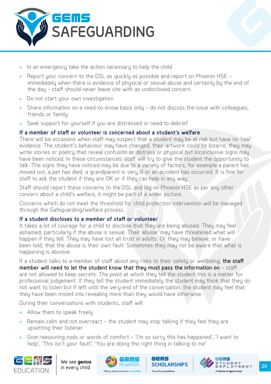

- » In an emergency take the action necessary to help the child
- » Report your concern to the DSL as quickly as possible and report on Phoenix HSE immediately when there is evidence of physical or sexual abuse and certainly by the end of the day – staff should never leave site with an undisclosed concern.
- » Do not start your own investigation
- » Share information on a need-to-know basis only do not discuss the issue with colleagues, friends or family
- Seek support for yourself if you are distressed or need to debrief

#### **If a member of staff or volunteer is concerned about a student's welfare**

There will be occasions when staff may suspect that a student may be at risk but have no 'real' evidence. The student's behaviour may have changed, their artwork could be bizarre, they may write stories or poetry that reveal confusion or distress or physical but inconclusive signs may have been noticed. In these circumstances, staff will try to give the student the opportunity to talk. The signs they have noticed may be due to a variety of factors, for example a parent has moved out, a pet has died, a grandparent is very ill or an accident has occurred. It is fine for staff to ask the student if they are OK or if they can help in any way.

Staff should report these concerns to the DSL and log on Phoenix HSE as per any other concern about a child's welfare, it might be part of a wider picture.

Concerns which do not meet the threshold for child protection intervention will be managed through the Safeguarding/welfare process.

#### **If a student discloses to a member of staff or volunteer**

It takes a lot of courage for a child to disclose that they are being abused. They may feel ashamed, particularly if the abuse is sexual. Their abuser may have threatened what will happen if they tell. They may have lost all trust in adults. Or they may believe, or have been told, that the abuse is their own fault. Sometimes they may not be aware that what is happening is abusive.

If a student talks to a member of staff about any risks to their safety or wellbeing, the staff member will need to let the student know that they must pass the information on – staff are not allowed to keep secrets. The point at which they tell the student this is a matter for professional judgement. If they tell the student immediately the student may think that they do not want to listen but if left until the very end of the conversation, the student may feel that they have been misled into revealing more than they would have otherwise.

During their conversations with students, staff will:

- » Allow them to speak freely
- » Remain calm and not overreact the student may stop talking if they feel they are upsetting their listener
- » Give reassuring nods or words of comfort 'I'm so sorry this has happened', 'I want to help', 'This isn't your fault', 'You are doing the right thing in talking to me'





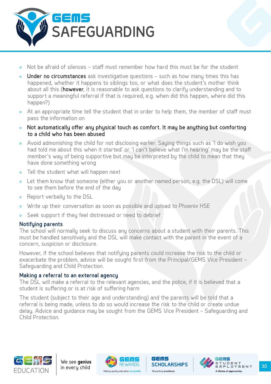

- » Not be afraid of silences staff must remember how hard this must be for the student
- Under no circumstances ask investigative questions such as how many times this has happened, whether it happens to siblings too, or what does the student's mother think about all this (however, it is reasonable to ask questions to clarify understanding and to support a meaningful referral if that is required, e.g. when did this happen, where did this happen?)
- » At an appropriate time tell the student that in order to help them, the member of staff must pass the information on
- » Not automatically offer any physical touch as comfort. It may be anything but comforting to a child who has been abused
- Avoid admonishing the child for not disclosing earlier. Sauing things such as 'I do wish you had told me about this when it started' or 'I can't believe what I'm hearing' may be the staff member's way of being supportive but may be interpreted by the child to mean that they have done something wrong
- » Tell the student what will happen next
- » Let them know that someone (either you or another named person, e.g. the DSL) will come to see them before the end of the day
- » Report verbally to the DSL
- » Write up their conversation as soon as possible and upload to Phoenix HSE
- » Seek support if they feel distressed or need to debrief

#### **Notifying parents**

The school will normally seek to discuss any concerns about a student with their parents. This must be handled sensitively and the DSL will make contact with the parent in the event of a concern, suspicion or disclosure.

However, if the school believes that notifying parents could increase the risk to the child or exacerbate the problem, advice will be sought first from the Principal/GEMS Vice President – Safeguarding and Child Protection.

#### **Making a referral to an external agency**

The DSL will make a referral to the relevant agencies, and the police, if it is believed that a student is suffering or is at risk of suffering harm

The student (subject to their age and understanding) and the parents will be told that a referral is being made, unless to do so would increase the risk to the child or create undue delay. Advice and guidance may be sought from the GEMS Vice President – Safeguarding and Child Protection.







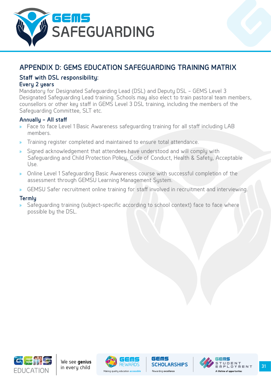<span id="page-31-0"></span>

# **APPENDIX D: GEMS EDUCATION SAFEGUARDING TRAINING MATRIX**

#### **Staff with DSL responsibility:**

#### **Every 2 years**

Mandatory for Designated Safeguarding Lead (DSL) and Deputy DSL – GEMS Level 3 Designated Safeguarding Lead training. Schools may also elect to train pastoral team members, counsellors or other key staff in GEMS Level 3 DSL training, including the members of the Safeguarding Committee, SLT etc.

#### **Annually – All staff**

- » Face to face Level 1 Basic Awareness safeguarding training for all staff including LAB members.
- » Training register completed and maintained to ensure total attendance.
- » Signed acknowledgement that attendees have understood and will comply with Safeguarding and Child Protection Policy, Code of Conduct, Health & Safety, Acceptable Use.
- » Online Level 1 Safeguarding Basic Awareness course with successful completion of the assessment through GEMSU Learning Management System.
- » GEMSU Safer recruitment online training for staff involved in recruitment and interviewing.

#### **Termly**

Safeguarding training (subject-specific according to school context) face to face where possible by the DSL.







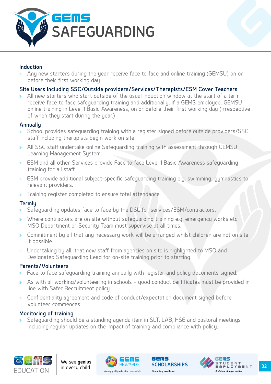

#### **Induction**

» Any new starters during the year receive face to face and online training (GEMSU) on or before their first working day.

#### **Site Users including SSC/Outside providers/Services/Therapists/ESM Cover Teachers**

» All new starters who start outside of the usual induction window at the start of a term receive face to face safeguarding training and additionally, if a GEMS employee, GEMSU online training in Level 1 Basic Awareness, on or before their first working day (irrespective of when they start during the year.)

#### **Annually**

- School provides safeguarding training with a register signed before outside providers/SSC staff including therapists begin work on site.
- » All SSC staff undertake online Safeguarding training with assessment through GEMSU Learning Management System.
- » ESM and all other Services provide Face to face Level 1 Basic Awareness safeguarding training for all staff.
- » ESM provide additional subject-specific safeguarding training e.g. swimming, gymnastics to relevant providers.
- » Training register completed to ensure total attendance.

#### **Termly**

- » Safeguarding updates face to face by the DSL for services/ESM/contractors.
- Where contractors are on site without safeguarding training e.g. emergency works etc. MSO Department or Security Team must supervise at all times.
- » Commitment by all that any necessary work will be arranged whilst children are not on site if possible.
- » Undertaking by all, that new staff from agencies on site is highlighted to MSO and Designated Safeguarding Lead for on-site training prior to starting.

#### **Parents/Volunteers**

- » Face to face safeguarding training annually with register and policy documents signed.
- » As with all working/volunteering in schools good conduct certificates must be provided in line with Safer Recruitment policy.
- » Confidentiality agreement and code of conduct/expectation document signed before volunteer commences.

#### **Monitoring of training**

» Safeguarding should be a standing agenda item in SLT, LAB, HSE and pastoral meetings including regular updates on the impact of training and compliance with policy.